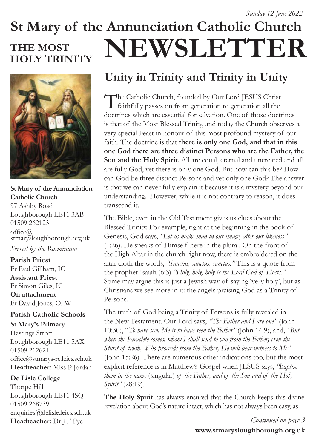# **St Mary of the Annunciation Catholic Church NEWSLETTER**

## **THE MOST HOLY TRINITY**



**St Mary of the Annunciation Catholic Church** 97 Ashby Road Loughborough LE11 3AB 01509 262123  $offce@$ stmarysloughborough.org.uk *Served by the Rosminians*

**Parish Priest**  Fr Paul Gillham, IC **Assistant Priest**  Fr Simon Giles, IC **On attachment**  Fr David Jones, OLW

#### **Parish Catholic Schools**

**St Mary's Primary** Hastings Street Loughborough LE11 5AX 01509 212621 office@stmarys-rc.leics.sch.uk **Headteacher:** Miss P Jordan

#### **De Lisle College**

Thorpe Hill Loughborough LE11 4SQ 01509 268739 enquiries@delisle.leics.sch.uk **Headteacher:** Dr J F Pye

## **Unity in Trinity and Trinity in Unity**

The Catholic Church, founded by Our Lord JESUS Christ, faithfully passes on from generation to generation all the doctrines which are essential for salvation. One of those doctrines is that of the Most Blessed Trinity, and today the Church observes a very special Feast in honour of this most profound mystery of our faith. The doctrine is that **there is only one God, and that in this one God there are three distinct Persons who are the Father, the Son and the Holy Spirit**. All are equal, eternal and uncreated and all are fully God, yet there is only one God. But how can this be? How can God be three distinct Persons and yet only one God? The answer is that we can never fully explain it because it is a mystery beyond our understanding. However, while it is not contrary to reason, it does transcend it.

The Bible, even in the Old Testament gives us clues about the Blessed Trinity. For example, right at the beginning in the book of Genesis, God says, *"Let us make man in our image, after our likeness"*  (1:26). He speaks of Himself here in the plural. On the front of the High Altar in the church right now, there is embroidered on the altar cloth the words, *"Sanctus, sanctus, sanctus."* This is a quote from the prophet Isaiah (6:3) *"Holy, holy, holy is the Lord God of Hosts."*  Some may argue this is just a Jewish way of saying 'very holy', but as Christians we see more in it: the angels praising God as a Trinity of Persons.

The truth of God being a Trinity of Persons is fully revealed in the New Testament. Our Lord says, *"The Father and I are one"* (John 10:30), "*To have seen Me is to have seen the Father"* (John 14:9), and, *"But when the Paraclete comes, whom I shall send to you from the Father, even the Spirit of truth, Who proceeds from the Father, He will bear witness to Me"*  (John 15:26). There are numerous other indications too, but the most explicit reference is in Matthew's Gospel when JESUS says, *"Baptise them in the name* (singular) *of the Father, and of the Son and of the Holy Spirit"* (28:19).

**The Holy Spirit** has always ensured that the Church keeps this divine revelation about God's nature intact, which has not always been easy, as

> **www.stmarysloughborough.org.uk** *Continued on page 3*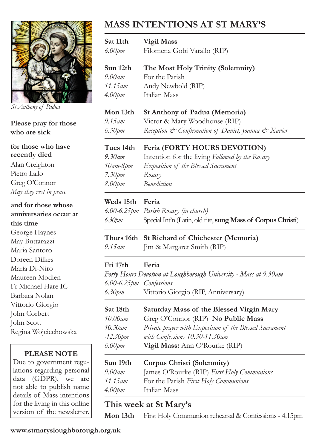

*St Anthony of Padua*

**Please pray for those who are sick**

**for those who have recently died**

Alan Creighton Pietro Lallo Greg O'Connor *May they rest in peace*

**and for those whose anniversaries occur at this time** George Haynes May Buttarazzi Maria Santoro Doreen Dilkes Maria Di-Niro Maureen Modlen Fr Michael Hare IC Barbara Nolan Vittorio Giorgio John Corbert John Scott Regina Wojciechowska

#### **PLEASE NOTE**

Due to government regulations regarding personal data (GDPR), we are not able to publish name details of Mass intentions for the living in this online version of the newsletter.

## **MASS INTENTIONS AT ST MARY'S**

| Sat 11th<br>6.00pm                          | <b>Vigil Mass</b><br>Filomena Gobi Varallo (RIP)                          |
|---------------------------------------------|---------------------------------------------------------------------------|
| Sun 12th<br>9.00am<br>$11.15$ <sub>am</sub> | The Most Holy Trinity (Solemnity)<br>For the Parish<br>Andy Newbold (RIP) |
| 4.00 <sub>pm</sub>                          | Italian Mass                                                              |
| Mon 13th                                    | St Anthony of Padua (Memoria)                                             |
| 9.15 am                                     | Victor & Mary Woodhouse (RIP)                                             |
| $6.30$ pm                                   | Reception & Confirmation of Daniel, Joanna & Xavier                       |
| Tues 14th                                   | Feria (FORTY HOURS DEVOTION)                                              |
| 9.30am                                      | Intention for the living Followed by the Rosary                           |
| 10am-8pm                                    | Exposition of the Blessed Sacrament                                       |
| $7.30$ pm                                   | Rosary                                                                    |
| 8.00pm                                      | <b>Benediction</b>                                                        |
| Weds 15th                                   | Feria                                                                     |
|                                             | 6.00-6.25pm Parish Rosary (in church)                                     |
| 6.30pm                                      | Special Int'n (Latin, old rite, sung Mass of Corpus Christi)              |
| Thurs 16th                                  | St Richard of Chichester (Memoria)                                        |
| 9.15 am                                     | Jim & Margaret Smith (RIP)                                                |
| Fri 17th                                    | Feria                                                                     |
|                                             | Forty Hours Devotion at Loughborough University - Mass at 9.30am          |
| 6.00-6.25pm Confessions                     |                                                                           |
| $6.30$ pm                                   | Vittorio Giorgio (RIP, Anniversary)                                       |
| Sat 18th                                    | Saturday Mass of the Blessed Virgin Mary                                  |
| 10.00am                                     | Greg O'Connor (RIP) No Public Mass                                        |
| $10.30$ am                                  | Private prayer with Exposition of the Blessed Sacrament                   |
| $-12.30$ pm                                 | with Confessions 10.30-11.30am                                            |
| $6.00$ pm                                   | Vigil Mass: Ann O'Rourke (RIP)                                            |
| Sun 19th                                    | Corpus Christi (Solemnity)                                                |
| $9.00$ am                                   | James O'Rourke (RIP) First Holy Communions                                |
| $11.15$ <sub>am</sub>                       | For the Parish First Holy Communions                                      |
|                                             |                                                                           |
| 4.00 <sub>pm</sub>                          | Italian Mass                                                              |

**This week at St Mary's**

**Mon 13th** First Holy Communion rehearsal & Confessions - 4.15pm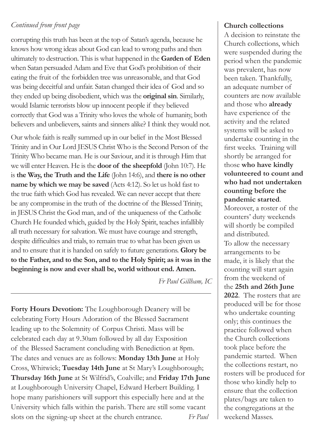#### *Continued from front page*

corrupting this truth has been at the top of Satan's agenda, because he knows how wrong ideas about God can lead to wrong paths and then ultimately to destruction. This is what happened in the **Garden of Eden** when Satan persuaded Adam and Eve that God's prohibition of their eating the fruit of the forbidden tree was unreasonable, and that God was being deceitful and unfair. Satan changed their idea of God and so they ended up being disobedient, which was the **original sin**. Similarly, would Islamic terrorists blow up innocent people if they believed correctly that God was a Trinity who loves the whole of humanity, both believers and unbelievers, saints and sinners alike? I think they would not.

Our whole faith is really summed up in our belief in the Most Blessed Trinity and in Our Lord JESUS Christ Who is the Second Person of the Trinity Who became man. He is our Saviour, and it is through Him that we will enter Heaven. He is the **door of the sheepfold** (John 10:7). He is **the Way, the Truth and the Life** (John 14:6), and **there is no other name by which we may be saved** (Acts 4:12). So let us hold fast to the true faith which God has revealed. We can never accept that there be any compromise in the truth of the doctrine of the Blessed Trinity, in JESUS Christ the God man, and of the uniqueness of the Catholic Church He founded which, guided by the Holy Spirit, teaches infallibly all truth necessary for salvation. We must have courage and strength, despite difficulties and trials, to remain true to what has been given us and to ensure that it is handed on safely to future generations. **Glory be to the Father, and to the Son, and to the Holy Spirit; as it was in the beginning is now and ever shall be, world without end. Amen.**

*Fr Paul Gillham, IC*

**Forty Hours Devotion:** The Loughborough Deanery will be celebrating Forty Hours Adoration of the Blessed Sacrament leading up to the Solemnity of Corpus Christi. Mass will be celebrated each day at 9.30am followed by all day Exposition of the Blessed Sacrament concluding with Benediction at 8pm. The dates and venues are as follows: **Monday 13th June** at Holy Cross, Whitwick; **Tuesday 14th June** at St Mary's Loughborough; **Thursday 16th June** at St Wilfrid's, Coalville; and **Friday 17th June**  at Loughborough University Chapel, Edward Herbert Building. I hope many parishioners will support this especially here and at the University which falls within the parish. There are still some vacant slots on the signing-up sheet at the church entrance. *Fr Paul*

#### **Church collections**

A decision to reinstate the Church collections, which were suspended during the period when the pandemic was prevalent, has now been taken. Thankfully, an adequate number of counters are now available and those who **already** have experience of the activity and the related systems will be asked to undertake counting in the first weeks. Training will shortly be arranged for those **who have kindly volunteered to count and who had not undertaken counting before the pandemic started**.

Moreover, a roster of the counters' duty weekends will shortly be compiled and distributed.

To allow the necessary arrangements to be made, it is likely that the counting will start again from the weekend of the **25th and 26th June 2022**. The rosters that are produced will be for those who undertake counting only; this continues the practice followed when the Church collections took place before the pandemic started. When the collections restart, no rosters will be produced for those who kindly help to ensure that the collection plates/bags are taken to the congregations at the weekend Masses.